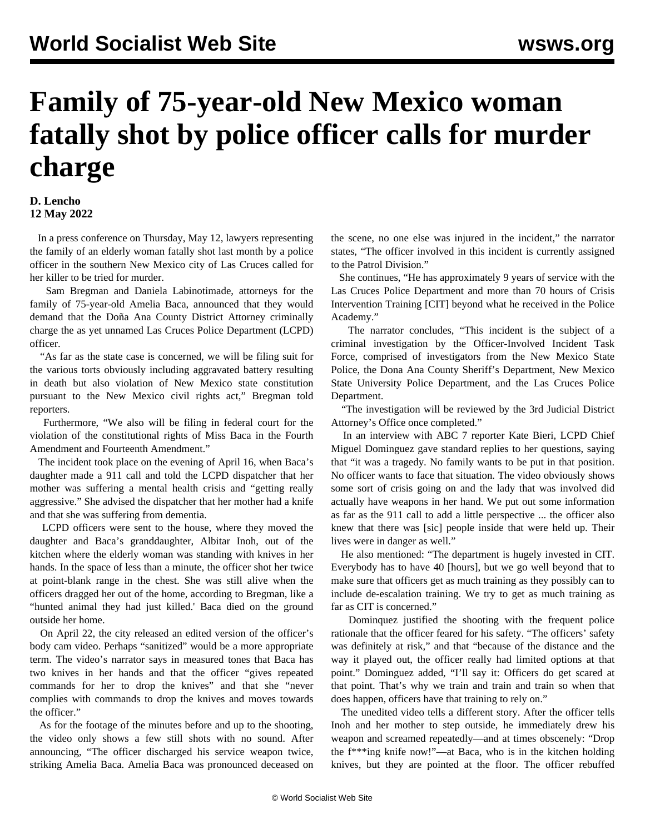## **Family of 75-year-old New Mexico woman fatally shot by police officer calls for murder charge**

## **D. Lencho 12 May 2022**

 In a press conference on Thursday, May 12, lawyers representing the family of an elderly woman fatally shot last month by a police officer in the southern New Mexico city of Las Cruces called for her killer to be tried for murder.

 Sam Bregman and Daniela Labinotimade, attorneys for the family of 75-year-old Amelia Baca, announced that they would demand that the Doña Ana County District Attorney criminally charge the as yet unnamed Las Cruces Police Department (LCPD) officer.

 "As far as the state case is concerned, we will be filing suit for the various torts obviously including aggravated battery resulting in death but also violation of New Mexico state constitution pursuant to the New Mexico civil rights act," Bregman told reporters.

 Furthermore, "We also will be filing in federal court for the violation of the constitutional rights of Miss Baca in the Fourth Amendment and Fourteenth Amendment."

 The incident took place on the evening of April 16, when Baca's daughter made a 911 call and told the LCPD dispatcher that her mother was suffering a mental health crisis and "getting really aggressive." She advised the dispatcher that her mother had a knife and that she was suffering from dementia.

 LCPD officers were sent to the house, where they moved the daughter and Baca's granddaughter, Albitar Inoh, out of the kitchen where the elderly woman was standing with knives in her hands. In the space of less than a minute, the officer shot her twice at point-blank range in the chest. She was still alive when the officers dragged her out of the home, according to Bregman, like a "hunted animal they had just killed.' Baca died on the ground outside her home.

 On April 22, the city released an [edited version](https://kvia.com/top-stories/2022/04/22/las-cruces-police-release-produced-video-explaining-what-led-officer-to-shoot-75-year-old-woman/) of the officer's body cam video. Perhaps "sanitized" would be a more appropriate term. The video's narrator says in measured tones that Baca has two knives in her hands and that the officer "gives repeated commands for her to drop the knives" and that she "never complies with commands to drop the knives and moves towards the officer."

 As for the footage of the minutes before and up to the shooting, the video only shows a few still shots with no sound. After announcing, "The officer discharged his service weapon twice, striking Amelia Baca. Amelia Baca was pronounced deceased on

the scene, no one else was injured in the incident," the narrator states, "The officer involved in this incident is currently assigned to the Patrol Division."

 She continues, "He has approximately 9 years of service with the Las Cruces Police Department and more than 70 hours of Crisis Intervention Training [CIT] beyond what he received in the Police Academy."

 The narrator concludes, "This incident is the subject of a criminal investigation by the Officer-Involved Incident Task Force, comprised of investigators from the New Mexico State Police, the Dona Ana County Sheriff's Department, New Mexico State University Police Department, and the Las Cruces Police Department.

 "The investigation will be reviewed by the 3rd Judicial District Attorney's Office once completed."

 In an interview with ABC 7 reporter Kate Bieri, LCPD Chief Miguel Dominguez gave standard replies to her questions, saying that "it was a tragedy. No family wants to be put in that position. No officer wants to face that situation. The video obviously shows some sort of crisis going on and the lady that was involved did actually have weapons in her hand. We put out some information as far as the 911 call to add a little perspective ... the officer also knew that there was [sic] people inside that were held up. Their lives were in danger as well."

 He also mentioned: "The department is hugely invested in CIT. Everybody has to have 40 [hours], but we go well beyond that to make sure that officers get as much training as they possibly can to include de-escalation training. We try to get as much training as far as CIT is concerned."

 Dominquez justified the shooting with the frequent police rationale that the officer feared for his safety. "The officers' safety was definitely at risk," and that "because of the distance and the way it played out, the officer really had limited options at that point." Dominguez added, "I'll say it: Officers do get scared at that point. That's why we train and train and train so when that does happen, officers have that training to rely on."

 The unedited video tells a different story. After the officer tells Inoh and her mother to step outside, he immediately drew his weapon and screamed repeatedly—and at times obscenely: "Drop the f\*\*\*ing knife now!"—at Baca, who is in the kitchen holding knives, but they are pointed at the floor. The officer rebuffed